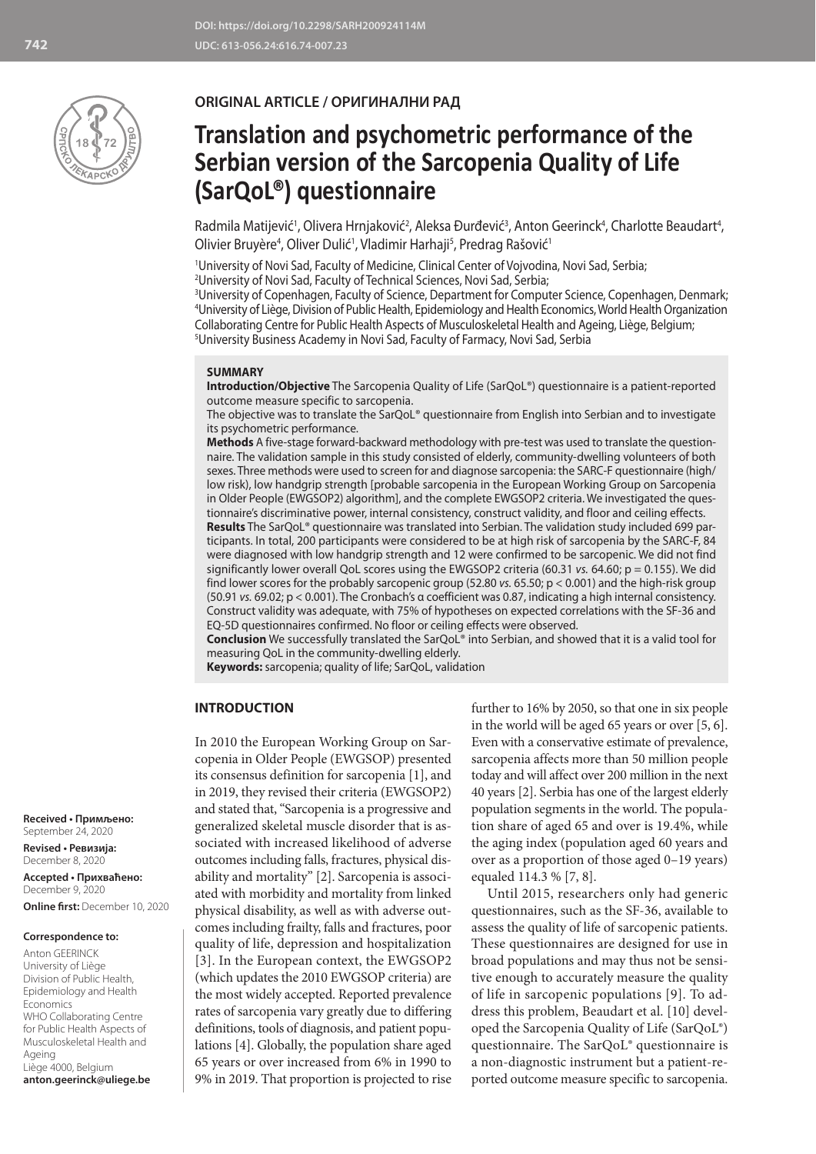

# **ORIGINAL ARTICLE / ОРИГИНАЛНИ РАД**

# **Translation and psychometric performance of the Serbian version of the Sarcopenia Quality of Life (SarQoL®) questionnaire**

Radmila Matijević<sup>1</sup>, Olivera Hrnjaković<sup>2</sup>, Aleksa Đurđević<sup>3</sup>, Anton Geerinck<sup>4</sup>, Charlotte Beaudart<sup>4</sup>, Olivier Bruyère<sup>4</sup>, Oliver Dulić<sup>1</sup>, Vladimir Harhaji<sup>5</sup>, Predrag Rašović<sup>1</sup>

1 University of Novi Sad, Faculty of Medicine, Clinical Center of Vojvodina, Novi Sad, Serbia;

2 University of Novi Sad, Faculty of Technical Sciences, Novi Sad, Serbia;

 University of Copenhagen, Faculty of Science, Department for Computer Science, Copenhagen, Denmark; University of Liège, Division of Public Health, Epidemiology and Health Economics, World Health Organization Collaborating Centre for Public Health Aspects of Musculoskeletal Health and Ageing, Liège, Belgium; University Business Academy in Novi Sad, Faculty of Farmacy, Novi Sad, Serbia

#### **SUMMARY**

**Introduction/Objective** The Sarcopenia Quality of Life (SarQoL®) questionnaire is a patient-reported outcome measure specific to sarcopenia.

The objective was to translate the SarQoL® questionnaire from English into Serbian and to investigate its psychometric performance.

**Methods** A five-stage forward-backward methodology with pre-test was used to translate the questionnaire. The validation sample in this study consisted of elderly, community-dwelling volunteers of both sexes. Three methods were used to screen for and diagnose sarcopenia: the SARC-F questionnaire (high/ low risk), low handgrip strength [probable sarcopenia in the European Working Group on Sarcopenia in Older People (EWGSOP2) algorithm], and the complete EWGSOP2 criteria. We investigated the questionnaire's discriminative power, internal consistency, construct validity, and floor and ceiling effects. **Results** The SarQoL® questionnaire was translated into Serbian. The validation study included 699 par-

ticipants. In total, 200 participants were considered to be at high risk of sarcopenia by the SARC-F, 84 were diagnosed with low handgrip strength and 12 were confirmed to be sarcopenic. We did not find significantly lower overall QoL scores using the EWGSOP2 criteria (60.31 *vs.* 64.60; p = 0.155). We did find lower scores for the probably sarcopenic group (52.80 *vs.* 65.50; p < 0.001) and the high-risk group (50.91 *vs.* 69.02; p < 0.001). The Cronbach's α coefficient was 0.87, indicating a high internal consistency. Construct validity was adequate, with 75% of hypotheses on expected correlations with the SF-36 and EQ-5D questionnaires confirmed. No floor or ceiling effects were observed.

**Conclusion** We successfully translated the SarQoL® into Serbian, and showed that it is a valid tool for measuring QoL in the community-dwelling elderly.

**Keywords:** sarcopenia; quality of life; SarQoL, validation

#### **INTRODUCTION**

In 2010 the European Working Group on Sarcopenia in Older People (EWGSOP) presented its consensus definition for sarcopenia [1], and in 2019, they revised their criteria (EWGSOP2) and stated that, "Sarcopenia is a progressive and generalized skeletal muscle disorder that is associated with increased likelihood of adverse outcomes including falls, fractures, physical disability and mortality" [2]. Sarcopenia is associated with morbidity and mortality from linked physical disability, as well as with adverse outcomes including frailty, falls and fractures, poor quality of life, depression and hospitalization [3]. In the European context, the EWGSOP2 (which updates the 2010 EWGSOP criteria) are the most widely accepted. Reported prevalence rates of sarcopenia vary greatly due to differing definitions, tools of diagnosis, and patient populations [4]. Globally, the population share aged 65 years or over increased from 6% in 1990 to 9% in 2019. That proportion is projected to rise

further to 16% by 2050, so that one in six people in the world will be aged 65 years or over [5, 6]. Even with a conservative estimate of prevalence, sarcopenia affects more than 50 million people today and will affect over 200 million in the next 40 years [2]. Serbia has one of the largest elderly population segments in the world. The population share of aged 65 and over is 19.4%, while the aging index (population aged 60 years and over as a proportion of those aged 0–19 years) equaled 114.3 % [7, 8].

Until 2015, researchers only had generic questionnaires, such as the SF-36, available to assess the quality of life of sarcopenic patients. These questionnaires are designed for use in broad populations and may thus not be sensitive enough to accurately measure the quality of life in sarcopenic populations [9]. To address this problem, Beaudart et al. [10] developed the Sarcopenia Quality of Life (SarQoL**®**) questionnaire. The SarQoL**®** questionnaire is a non-diagnostic instrument but a patient-reported outcome measure specific to sarcopenia.

**Received • Примљено:**  September 24, 2020

**Revised • Ревизија:**  December 8, 2020

**Accepted • Прихваћено:** December 9, 2020 **Online first:** December 10, 2020

#### **Correspondence to:**

Anton GEERINCK University of Liège Division of Public Health, Epidemiology and Health Economics WHO Collaborating Centre for Public Health Aspects of Musculoskeletal Health and Ageing Liège 4000, Belgium **anton.geerinck@uliege.be**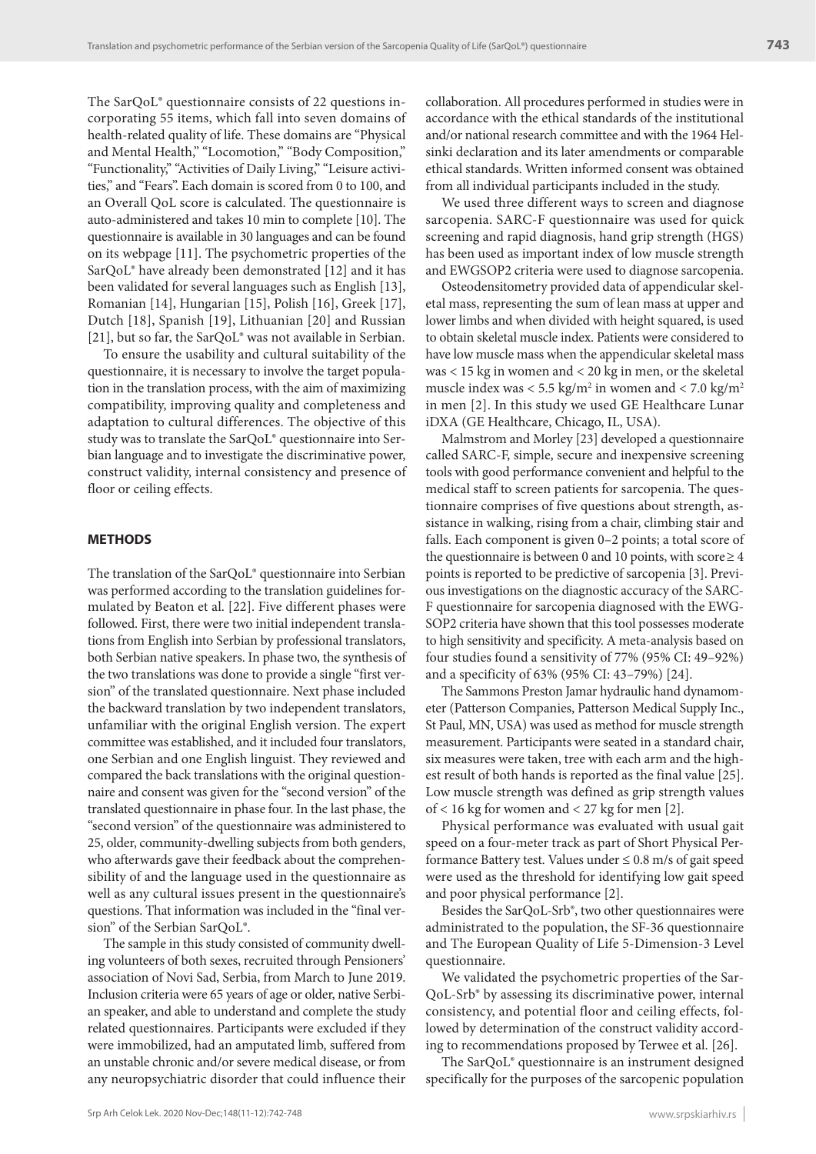The SarQoL® questionnaire consists of 22 questions incorporating 55 items, which fall into seven domains of health-related quality of life. These domains are "Physical and Mental Health," "Locomotion," "Body Composition," "Functionality," "Activities of Daily Living," "Leisure activities," and "Fears". Each domain is scored from 0 to 100, and an Overall QoL score is calculated. The questionnaire is auto-administered and takes 10 min to complete [10]. The questionnaire is available in 30 languages and can be found on its webpage [11]. The psychometric properties of the SarQoL® have already been demonstrated [12] and it has been validated for several languages such as English [13], Romanian [14], Hungarian [15], Polish [16], Greek [17], Dutch [18], Spanish [19], Lithuanian [20] and Russian [21], but so far, the SarQoL® was not available in Serbian.

To ensure the usability and cultural suitability of the questionnaire, it is necessary to involve the target population in the translation process, with the aim of maximizing compatibility, improving quality and completeness and adaptation to cultural differences. The objective of this study was to translate the SarQoL® questionnaire into Serbian language and to investigate the discriminative power, construct validity, internal consistency and presence of floor or ceiling effects.

#### **METHODS**

The translation of the SarQoL® questionnaire into Serbian was performed according to the translation guidelines formulated by Beaton et al. [22]. Five different phases were followed. First, there were two initial independent translations from English into Serbian by professional translators, both Serbian native speakers. In phase two, the synthesis of the two translations was done to provide a single "first version" of the translated questionnaire. Next phase included the backward translation by two independent translators, unfamiliar with the original English version. The expert committee was established, and it included four translators, one Serbian and one English linguist. They reviewed and compared the back translations with the original questionnaire and consent was given for the "second version" of the translated questionnaire in phase four. In the last phase, the "second version" of the questionnaire was administered to 25, older, community-dwelling subjects from both genders, who afterwards gave their feedback about the comprehensibility of and the language used in the questionnaire as well as any cultural issues present in the questionnaire's questions. That information was included in the "final version" of the Serbian SarQoL®.

The sample in this study consisted of community dwelling volunteers of both sexes, recruited through Pensioners' association of Novi Sad, Serbia, from March to June 2019. Inclusion criteria were 65 years of age or older, native Serbian speaker, and able to understand and complete the study related questionnaires. Participants were excluded if they were immobilized, had an amputated limb, suffered from an unstable chronic and/or severe medical disease, or from any neuropsychiatric disorder that could influence their

collaboration. All procedures performed in studies were in accordance with the ethical standards of the institutional and/or national research committee and with the 1964 Helsinki declaration and its later amendments or comparable ethical standards. Written informed consent was obtained from all individual participants included in the study.

We used three different ways to screen and diagnose sarcopenia. SARC-F questionnaire was used for quick screening and rapid diagnosis, hand grip strength (HGS) has been used as important index of low muscle strength and EWGSOP2 criteria were used to diagnose sarcopenia.

Osteodensitometry provided data of appendicular skeletal mass, representing the sum of lean mass at upper and lower limbs and when divided with height squared, is used to obtain skeletal muscle index. Patients were considered to have low muscle mass when the appendicular skeletal mass was < 15 kg in women and < 20 kg in men, or the skeletal muscle index was  $<$  5.5 kg/m<sup>2</sup> in women and  $<$  7.0 kg/m<sup>2</sup> in men [2]. In this study we used GE Healthcare Lunar iDXA (GE Healthcare, Chicago, IL, USA).

Malmstrom and Morley [23] developed a questionnaire called SARC-F, simple, secure and inexpensive screening tools with good performance convenient and helpful to the medical staff to screen patients for sarcopenia. The questionnaire comprises of five questions about strength, assistance in walking, rising from a chair, climbing stair and falls. Each component is given 0–2 points; a total score of the questionnaire is between 0 and 10 points, with score  $\geq 4$ points is reported to be predictive of sarcopenia [3]. Previous investigations on the diagnostic accuracy of the SARC-F questionnaire for sarcopenia diagnosed with the EWG-SOP2 criteria have shown that this tool possesses moderate to high sensitivity and specificity. A meta-analysis based on four studies found a sensitivity of 77% (95% CI: 49–92%) and a specificity of 63% (95% CI: 43–79%) [24].

The Sammons Preston Jamar hydraulic hand dynamometer (Patterson Companies, Patterson Medical Supply Inc., St Paul, MN, USA) was used as method for muscle strength measurement. Participants were seated in a standard chair, six measures were taken, tree with each arm and the highest result of both hands is reported as the final value [25]. Low muscle strength was defined as grip strength values of < 16 kg for women and < 27 kg for men [2].

Physical performance was evaluated with usual gait speed on a four-meter track as part of Short Physical Performance Battery test. Values under  $\leq 0.8$  m/s of gait speed were used as the threshold for identifying low gait speed and poor physical performance [2].

Besides the SarQoL-Srb®, two other questionnaires were administrated to the population, the SF-36 questionnaire and The European Quality of Life 5-Dimension-3 Level questionnaire.

We validated the psychometric properties of the Sar-QoL-Srb® by assessing its discriminative power, internal consistency, and potential floor and ceiling effects, followed by determination of the construct validity according to recommendations proposed by Terwee et al. [26].

The SarQoL® questionnaire is an instrument designed specifically for the purposes of the sarcopenic population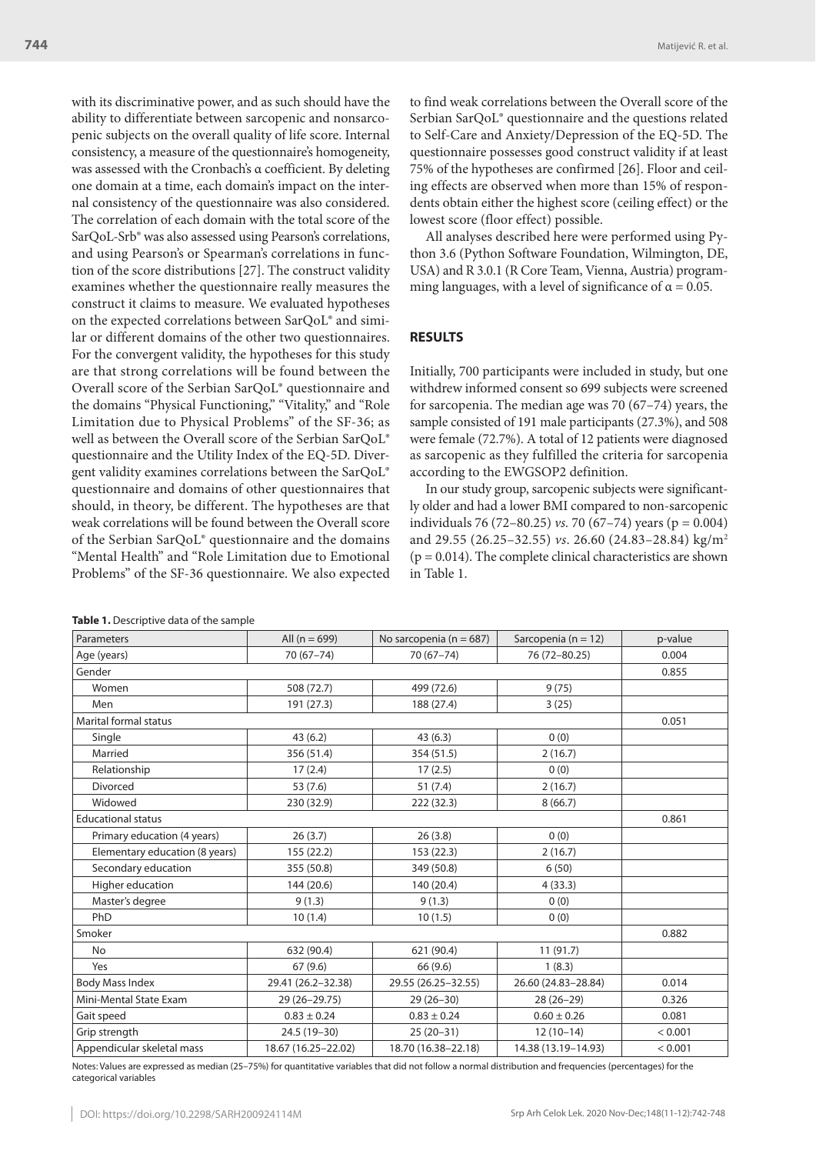with its discriminative power, and as such should have the ability to differentiate between sarcopenic and nonsarcopenic subjects on the overall quality of life score. Internal consistency, a measure of the questionnaire's homogeneity, was assessed with the Cronbach's α coefficient. By deleting one domain at a time, each domain's impact on the internal consistency of the questionnaire was also considered. The correlation of each domain with the total score of the SarQoL-Srb® was also assessed using Pearson's correlations, and using Pearson's or Spearman's correlations in function of the score distributions [27]. The construct validity examines whether the questionnaire really measures the construct it claims to measure. We evaluated hypotheses on the expected correlations between SarQoL® and similar or different domains of the other two questionnaires. For the convergent validity, the hypotheses for this study are that strong correlations will be found between the Overall score of the Serbian SarQoL® questionnaire and the domains "Physical Functioning," "Vitality," and "Role Limitation due to Physical Problems" of the SF-36; as well as between the Overall score of the Serbian SarQoL® questionnaire and the Utility Index of the EQ-5D. Divergent validity examines correlations between the SarQoL® questionnaire and domains of other questionnaires that should, in theory, be different. The hypotheses are that weak correlations will be found between the Overall score of the Serbian SarQoL® questionnaire and the domains "Mental Health" and "Role Limitation due to Emotional Problems" of the SF-36 questionnaire. We also expected

| to find weak correlations between the Overall score of the          |
|---------------------------------------------------------------------|
| Serbian SarQoL <sup>®</sup> questionnaire and the questions related |
| to Self-Care and Anxiety/Depression of the EQ-5D. The               |
| questionnaire possesses good construct validity if at least         |
| 75% of the hypotheses are confirmed [26]. Floor and ceil-           |
| ing effects are observed when more than 15% of respon-              |
| dents obtain either the highest score (ceiling effect) or the       |
| lowest score (floor effect) possible.                               |

All analyses described here were performed using Python 3.6 (Python Software Foundation, Wilmington, DE, USA) and R 3.0.1 (R Core Team, Vienna, Austria) programming languages, with a level of significance of  $\alpha = 0.05$ .

# **RESULTS**

Initially, 700 participants were included in study, but one withdrew informed consent so 699 subjects were screened for sarcopenia. The median age was 70 (67–74) years, the sample consisted of 191 male participants (27.3%), and 508 were female (72.7%). A total of 12 patients were diagnosed as sarcopenic as they fulfilled the criteria for sarcopenia according to the EWGSOP2 definition.

In our study group, sarcopenic subjects were significantly older and had a lower BMI compared to non-sarcopenic individuals 76 (72–80.25) *vs.* 70 (67–74) years (p = 0.004) and 29.55 (26.25–32.55) *vs*. 26.60 (24.83–28.84) kg/m2  $(p = 0.014)$ . The complete clinical characteristics are shown in Table 1.

|  |  | <b>Table 1.</b> Descriptive data of the sample |  |  |  |
|--|--|------------------------------------------------|--|--|--|
|--|--|------------------------------------------------|--|--|--|

| Parameters                     | All $(n = 699)$     | No sarcopenia ( $n = 687$ ) | Sarcopenia ( $n = 12$ ) | p-value |
|--------------------------------|---------------------|-----------------------------|-------------------------|---------|
| Age (years)                    | 70 (67-74)          | 70 (67-74)                  | 76 (72-80.25)           | 0.004   |
| Gender                         | 0.855               |                             |                         |         |
| Women                          | 508 (72.7)          | 499 (72.6)                  | 9(75)                   |         |
| Men                            | 191 (27.3)          | 188 (27.4)                  | 3(25)                   |         |
| <b>Marital formal status</b>   |                     |                             |                         | 0.051   |
| Single                         | 43(6.2)             | 43(6.3)                     | 0(0)                    |         |
| Married                        | 356 (51.4)          | 354 (51.5)                  | 2(16.7)                 |         |
| Relationship                   | 17(2.4)             | 17(2.5)                     | 0(0)                    |         |
| Divorced                       | 53 (7.6)            | 51(7.4)                     | 2(16.7)                 |         |
| Widowed                        | 230 (32.9)          | 222 (32.3)                  | 8(66.7)                 |         |
| <b>Educational status</b>      |                     |                             |                         | 0.861   |
| Primary education (4 years)    | 26(3.7)             | 26(3.8)                     | 0(0)                    |         |
| Elementary education (8 years) | 155 (22.2)          | 153 (22.3)                  | 2(16.7)                 |         |
| Secondary education            | 355 (50.8)          | 349 (50.8)                  | 6(50)                   |         |
| Higher education               | 144 (20.6)          | 140 (20.4)                  | 4(33.3)                 |         |
| Master's degree                | 9(1.3)              | 9(1.3)                      | 0(0)                    |         |
| PhD                            | 10(1.4)             | 10(1.5)                     | 0(0)                    |         |
| Smoker                         |                     |                             |                         | 0.882   |
| <b>No</b>                      | 632 (90.4)          | 621 (90.4)                  | 11(91.7)                |         |
| Yes                            | 67(9.6)             | 66 (9.6)                    | 1(8.3)                  |         |
| <b>Body Mass Index</b>         | 29.41 (26.2-32.38)  | 29.55 (26.25-32.55)         | 26.60 (24.83-28.84)     | 0.014   |
| Mini-Mental State Exam         | 29 (26-29.75)       | $29(26-30)$                 | $28(26-29)$             | 0.326   |
| Gait speed                     | $0.83 \pm 0.24$     | $0.83 \pm 0.24$             | $0.60 \pm 0.26$         | 0.081   |
| Grip strength                  | 24.5 (19-30)        | $25(20-31)$                 | $12(10-14)$             | < 0.001 |
| Appendicular skeletal mass     | 18.67 (16.25-22.02) | 18.70 (16.38-22.18)         | 14.38 (13.19-14.93)     | < 0.001 |

Notes: Values are expressed as median (25–75%) for quantitative variables that did not follow a normal distribution and frequencies (percentages) for the categorical variables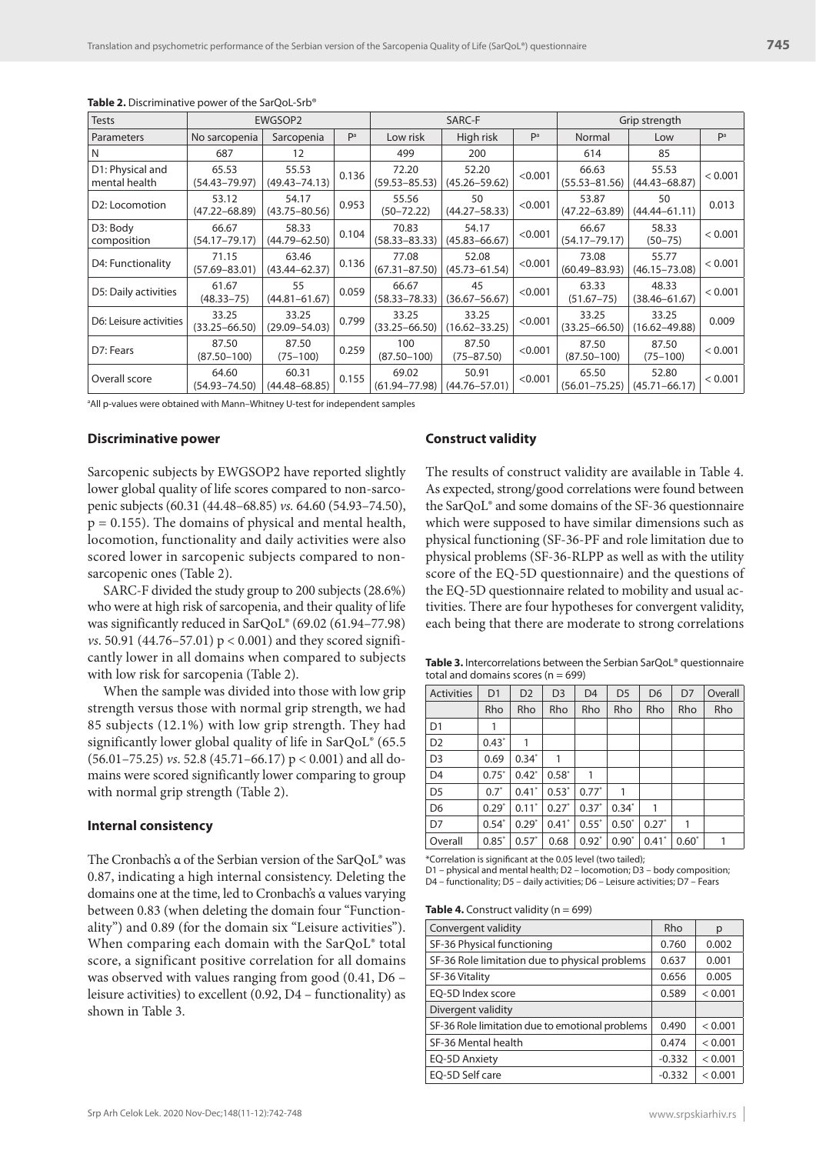| <b>Tests</b>                      |                            | EWGSOP2                    | SARC-F |                            |                            | Grip strength |                            |                            |         |
|-----------------------------------|----------------------------|----------------------------|--------|----------------------------|----------------------------|---------------|----------------------------|----------------------------|---------|
| Parameters                        | No sarcopenia              | Sarcopenia                 | Pa     | Low risk                   | High risk                  | Pa            | Normal                     | Low                        | Pa      |
| N                                 | 687                        | 12                         |        | 499                        | 200                        |               | 614                        | 85                         |         |
| D1: Physical and<br>mental health | 65.53<br>(54.43–79.97)     | 55.53<br>$(49.43 - 74.13)$ | 0.136  | 72.20<br>$(59.53 - 85.53)$ | 52.20<br>$(45.26 - 59.62)$ | < 0.001       | 66.63<br>$(55.53 - 81.56)$ | 55.53<br>$(44.43 - 68.87)$ | < 0.001 |
| D2: Locomotion                    | 53.12<br>$(47.22 - 68.89)$ | 54.17<br>$(43.75 - 80.56)$ | 0.953  | 55.56<br>$(50 - 72.22)$    | 50<br>$(44.27 - 58.33)$    | < 0.001       | 53.87<br>$(47.22 - 63.89)$ | 50<br>$(44.44 - 61.11)$    | 0.013   |
| D3: Body<br>composition           | 66.67<br>$(54.17 - 79.17)$ | 58.33<br>$(44.79 - 62.50)$ | 0.104  | 70.83<br>$(58.33 - 83.33)$ | 54.17<br>$(45.83 - 66.67)$ | < 0.001       | 66.67<br>$(54.17 - 79.17)$ | 58.33<br>$(50 - 75)$       | < 0.001 |
| D4: Functionality                 | 71.15<br>$(57.69 - 83.01)$ | 63.46<br>$(43.44 - 62.37)$ | 0.136  | 77.08<br>$(67.31 - 87.50)$ | 52.08<br>$(45.73 - 61.54)$ | < 0.001       | 73.08<br>$(60.49 - 83.93)$ | 55.77<br>$(46.15 - 73.08)$ | < 0.001 |
| D5: Daily activities              | 61.67<br>$(48.33 - 75)$    | 55<br>$(44.81 - 61.67)$    | 0.059  | 66.67<br>$(58.33 - 78.33)$ | 45<br>$(36.67 - 56.67)$    | < 0.001       | 63.33<br>$(51.67 - 75)$    | 48.33<br>$(38.46 - 61.67)$ | < 0.001 |
| D6: Leisure activities            | 33.25<br>$(33.25 - 66.50)$ | 33.25<br>(29.09–54.03)     | 0.799  | 33.25<br>$(33.25 - 66.50)$ | 33.25<br>$(16.62 - 33.25)$ | < 0.001       | 33.25<br>$(33.25 - 66.50)$ | 33.25<br>$(16.62 - 49.88)$ | 0.009   |
| D7: Fears                         | 87.50<br>$(87.50 - 100)$   | 87.50<br>$(75 - 100)$      | 0.259  | 100<br>$(87.50 - 100)$     | 87.50<br>$(75 - 87.50)$    | < 0.001       | 87.50<br>$(87.50 - 100)$   | 87.50<br>$(75 - 100)$      | < 0.001 |
| Overall score                     | 64.60<br>$(54.93 - 74.50)$ | 60.31<br>$(44.48 - 68.85)$ | 0.155  | 69.02<br>$(61.94 - 77.98)$ | 50.91<br>$(44.76 - 57.01)$ | < 0.001       | 65.50<br>$(56.01 - 75.25)$ | 52.80<br>$(45.71 - 66.17)$ | < 0.001 |

**Table 2.** Discriminative power of the SarQoL-Srb®

a All p-values were obtained with Mann–Whitney U-test for independent samples

#### **Discriminative power**

Sarcopenic subjects by EWGSOP2 have reported slightly lower global quality of life scores compared to non-sarcopenic subjects (60.31 (44.48–68.85) *vs.* 64.60 (54.93–74.50),  $p = 0.155$ ). The domains of physical and mental health, locomotion, functionality and daily activities were also scored lower in sarcopenic subjects compared to nonsarcopenic ones (Table 2).

SARC-F divided the study group to 200 subjects (28.6%) who were at high risk of sarcopenia, and their quality of life was significantly reduced in SarQoL® (69.02 (61.94–77.98) *vs*. 50.91 (44.76–57.01)  $p < 0.001$ ) and they scored significantly lower in all domains when compared to subjects with low risk for sarcopenia (Table 2).

When the sample was divided into those with low grip strength versus those with normal grip strength, we had 85 subjects (12.1%) with low grip strength. They had significantly lower global quality of life in SarQoL® (65.5 (56.01–75.25) *vs*. 52.8 (45.71–66.17) p < 0.001) and all domains were scored significantly lower comparing to group with normal grip strength (Table 2).

#### **Internal consistency**

The Cronbach's α of the Serbian version of the SarQoL® was 0.87, indicating a high internal consistency. Deleting the domains one at the time, led to Cronbach's α values varying between 0.83 (when deleting the domain four "Functionality") and 0.89 (for the domain six "Leisure activities"). When comparing each domain with the SarQoL® total score, a significant positive correlation for all domains was observed with values ranging from good (0.41, D6 – leisure activities) to excellent (0.92, D4 – functionality) as shown in Table 3.

#### **Construct validity**

The results of construct validity are available in Table 4. As expected, strong/good correlations were found between the SarQoL® and some domains of the SF-36 questionnaire which were supposed to have similar dimensions such as physical functioning (SF-36-PF and role limitation due to physical problems (SF-36-RLPP as well as with the utility score of the EQ-5D questionnaire) and the questions of the EQ-5D questionnaire related to mobility and usual activities. There are four hypotheses for convergent validity, each being that there are moderate to strong correlations

**Table 3.** Intercorrelations between the Serbian SarQoL® questionnaire total and domains scores ( $n = 699$ )

| <b>Activities</b> | D <sub>1</sub> | D <sub>2</sub> | D <sub>3</sub> | D <sub>4</sub> | D <sub>5</sub> | D <sub>6</sub> | D7      | Overall |
|-------------------|----------------|----------------|----------------|----------------|----------------|----------------|---------|---------|
|                   | Rho            | Rho            | Rho            | Rho            | Rho            | Rho            | Rho     | Rho     |
| D <sub>1</sub>    | 1              |                |                |                |                |                |         |         |
| D <sub>2</sub>    | $0.43*$        | 1              |                |                |                |                |         |         |
| D <sub>3</sub>    | 0.69           | $0.34*$        | 1              |                |                |                |         |         |
| D <sub>4</sub>    | $0.75*$        | $0.42*$        | $0.58*$        | 1              |                |                |         |         |
| D <sub>5</sub>    | $0.7^*$        | $0.41*$        | $0.53*$        | $0.77*$        | 1              |                |         |         |
| D <sub>6</sub>    | $0.29*$        | $0.11*$        | $0.27*$        | $0.37*$        | $0.34*$        | 1              |         |         |
| D7                | $0.54*$        | $0.29*$        | $0.41*$        | $0.55*$        | $0.50*$        | $0.27*$        | 1       |         |
| Overall           | $0.85*$        | $0.57*$        | 0.68           | $0.92^{*}$     | $0.90*$        | $0.41*$        | $0.60*$ | 1       |

\*Correlation is significant at the 0.05 level (two tailed);

D1 – physical and mental health; D2 – locomotion; D3 – body composition; D4 – functionality; D5 – daily activities; D6 – Leisure activities; D7 – Fears

|  | <b>Table 4.</b> Construct validity ( $n = 699$ ) |  |  |
|--|--------------------------------------------------|--|--|
|--|--------------------------------------------------|--|--|

| Convergent validity                             | Rho      | p       |
|-------------------------------------------------|----------|---------|
| SF-36 Physical functioning                      | 0.760    | 0.002   |
| SF-36 Role limitation due to physical problems  | 0.637    | 0.001   |
| SF-36 Vitality                                  | 0.656    | 0.005   |
| EQ-5D Index score                               | 0.589    | < 0.001 |
| Divergent validity                              |          |         |
| SF-36 Role limitation due to emotional problems | 0.490    | < 0.001 |
| SF-36 Mental health                             | 0.474    | < 0.001 |
| EQ-5D Anxiety                                   | $-0.332$ | < 0.001 |
| EO-5D Self care                                 | $-0.332$ | < 0.001 |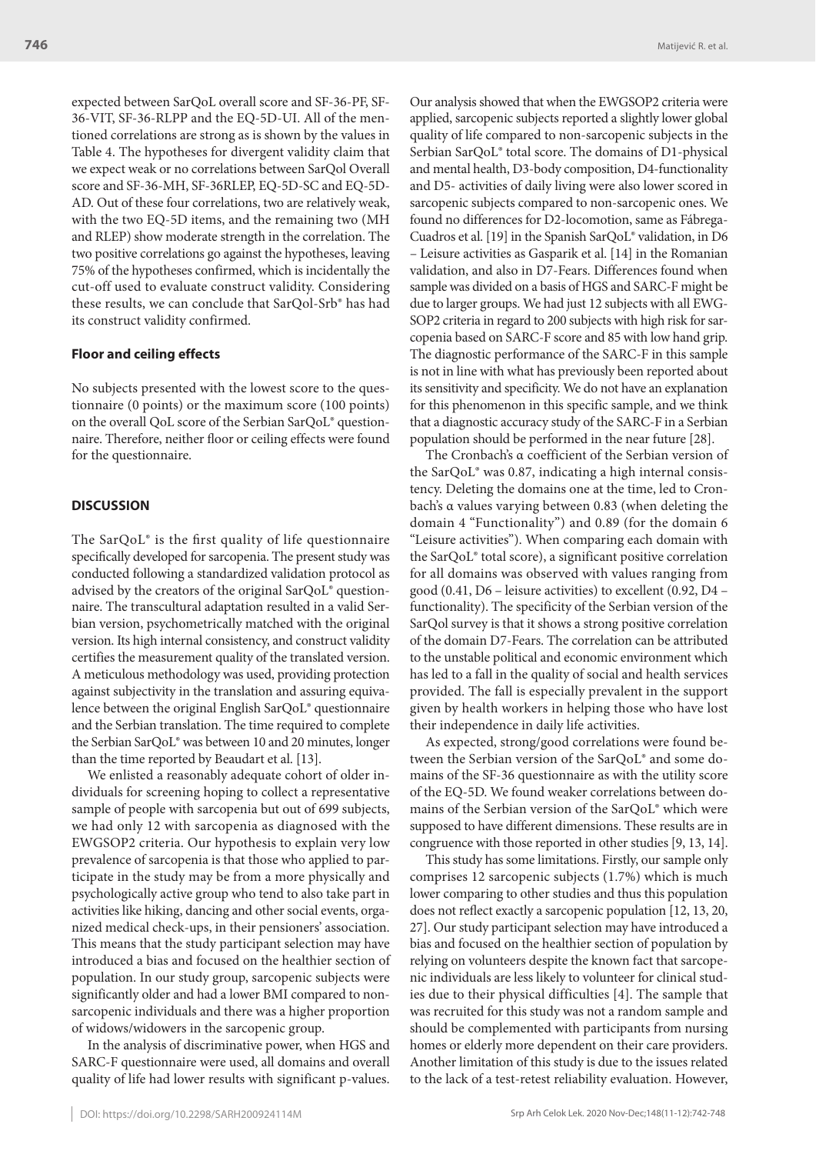expected between SarQoL overall score and SF-36-PF, SF-36-VIT, SF-36-RLPP and the EQ-5D-UI. All of the mentioned correlations are strong as is shown by the values in Table 4. The hypotheses for divergent validity claim that we expect weak or no correlations between SarQol Overall score and SF-36-MH, SF-36RLEP, EQ-5D-SC and EQ-5D-AD. Out of these four correlations, two are relatively weak, with the two EQ-5D items, and the remaining two (MH and RLEP) show moderate strength in the correlation. The two positive correlations go against the hypotheses, leaving 75% of the hypotheses confirmed, which is incidentally the cut-off used to evaluate construct validity. Considering these results, we can conclude that SarQol-Srb® has had its construct validity confirmed.

# **Floor and ceiling effects**

No subjects presented with the lowest score to the questionnaire (0 points) or the maximum score (100 points) on the overall QoL score of the Serbian SarQoL® questionnaire. Therefore, neither floor or ceiling effects were found for the questionnaire.

# **DISCUSSION**

The SarQoL® is the first quality of life questionnaire specifically developed for sarcopenia. The present study was conducted following a standardized validation protocol as advised by the creators of the original SarQoL® questionnaire. The transcultural adaptation resulted in a valid Serbian version, psychometrically matched with the original version. Its high internal consistency, and construct validity certifies the measurement quality of the translated version. A meticulous methodology was used, providing protection against subjectivity in the translation and assuring equivalence between the original English SarQoL® questionnaire and the Serbian translation. The time required to complete the Serbian SarQoL® was between 10 and 20 minutes, longer than the time reported by Beaudart et al. [13].

We enlisted a reasonably adequate cohort of older individuals for screening hoping to collect a representative sample of people with sarcopenia but out of 699 subjects, we had only 12 with sarcopenia as diagnosed with the EWGSOP2 criteria. Our hypothesis to explain very low prevalence of sarcopenia is that those who applied to participate in the study may be from a more physically and psychologically active group who tend to also take part in activities like hiking, dancing and other social events, organized medical check-ups, in their pensioners' association. This means that the study participant selection may have introduced a bias and focused on the healthier section of population. In our study group, sarcopenic subjects were significantly older and had a lower BMI compared to nonsarcopenic individuals and there was a higher proportion of widows/widowers in the sarcopenic group.

In the analysis of discriminative power, when HGS and SARC-F questionnaire were used, all domains and overall quality of life had lower results with significant p-values.

Our analysis showed that when the EWGSOP2 criteria were applied, sarcopenic subjects reported a slightly lower global quality of life compared to non-sarcopenic subjects in the Serbian SarQoL® total score. The domains of D1-physical and mental health, D3-body composition, D4-functionality and D5- activities of daily living were also lower scored in sarcopenic subjects compared to non-sarcopenic ones. We found no differences for D2-locomotion, same as Fábrega-Cuadros et al. [19] in the Spanish SarQoL® validation, in D6 – Leisure activities as Gasparik et al. [14] in the Romanian validation, and also in D7-Fears. Differences found when sample was divided on a basis of HGS and SARC-F might be due to larger groups. We had just 12 subjects with all EWG-SOP2 criteria in regard to 200 subjects with high risk for sarcopenia based on SARC-F score and 85 with low hand grip. The diagnostic performance of the SARC-F in this sample is not in line with what has previously been reported about its sensitivity and specificity. We do not have an explanation for this phenomenon in this specific sample, and we think that a diagnostic accuracy study of the SARC-F in a Serbian population should be performed in the near future [28].

The Cronbach's α coefficient of the Serbian version of the SarQoL® was 0.87, indicating a high internal consistency. Deleting the domains one at the time, led to Cronbach's α values varying between 0.83 (when deleting the domain 4 "Functionality") and 0.89 (for the domain 6 "Leisure activities"). When comparing each domain with the SarQoL® total score), a significant positive correlation for all domains was observed with values ranging from good (0.41, D6 – leisure activities) to excellent (0.92, D4 – functionality). The specificity of the Serbian version of the SarQol survey is that it shows a strong positive correlation of the domain D7-Fears. The correlation can be attributed to the unstable political and economic environment which has led to a fall in the quality of social and health services provided. The fall is especially prevalent in the support given by health workers in helping those who have lost their independence in daily life activities.

As expected, strong/good correlations were found between the Serbian version of the SarQoL® and some domains of the SF-36 questionnaire as with the utility score of the EQ-5D. We found weaker correlations between domains of the Serbian version of the SarQoL® which were supposed to have different dimensions. These results are in congruence with those reported in other studies [9, 13, 14].

This study has some limitations. Firstly, our sample only comprises 12 sarcopenic subjects (1.7%) which is much lower comparing to other studies and thus this population does not reflect exactly a sarcopenic population [12, 13, 20, 27]. Our study participant selection may have introduced a bias and focused on the healthier section of population by relying on volunteers despite the known fact that sarcopenic individuals are less likely to volunteer for clinical studies due to their physical difficulties [4]. The sample that was recruited for this study was not a random sample and should be complemented with participants from nursing homes or elderly more dependent on their care providers. Another limitation of this study is due to the issues related to the lack of a test-retest reliability evaluation. However,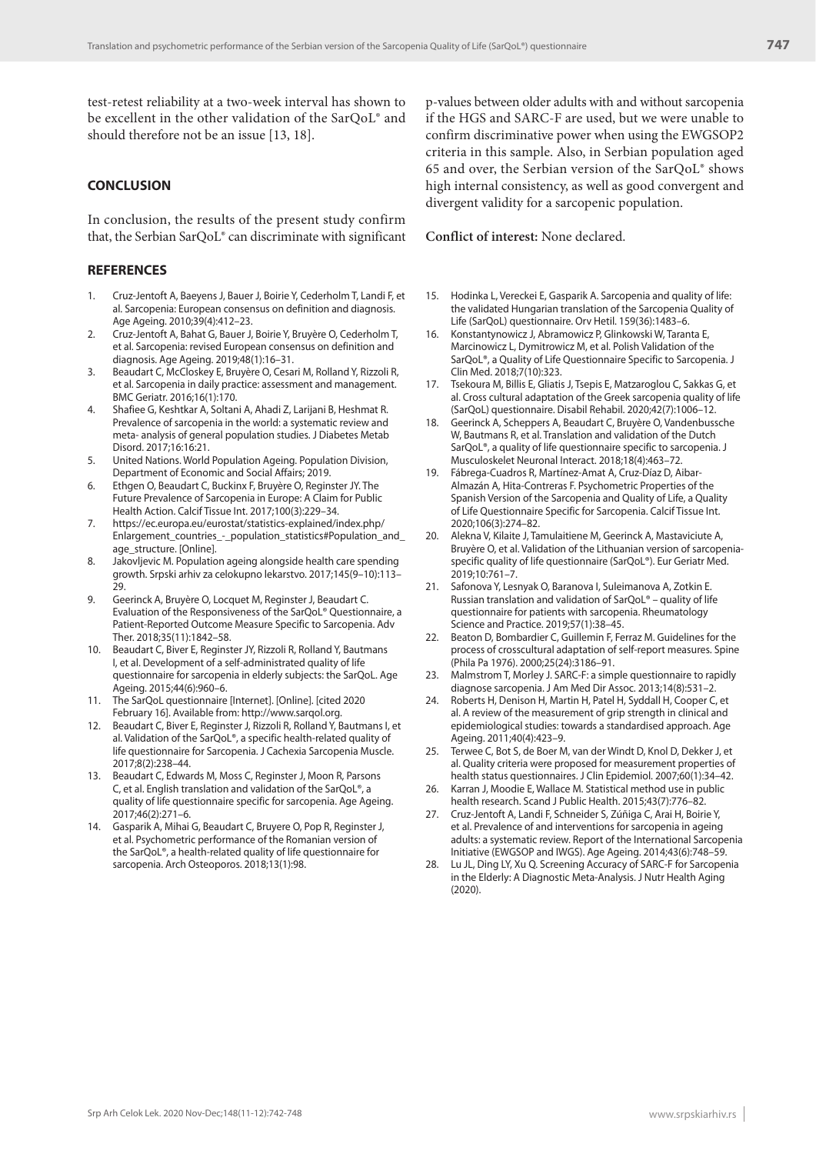test-retest reliability at a two-week interval has shown to be excellent in the other validation of the SarQoL® and should therefore not be an issue [13, 18].

# **CONCLUSION**

In conclusion, the results of the present study confirm that, the Serbian SarQoL® can discriminate with significant

#### **REFERENCES**

- 1. Cruz-Jentoft A, Baeyens J, Bauer J, Boirie Y, Cederholm T, Landi F, et al. Sarcopenia: European consensus on definition and diagnosis. Age Ageing. 2010;39(4):412–23.
- 2. Cruz-Jentoft A, Bahat G, Bauer J, Boirie Y, Bruyère O, Cederholm T, et al. Sarcopenia: revised European consensus on definition and diagnosis. Age Ageing. 2019;48(1):16–31.
- 3. Beaudart C, McCloskey E, Bruyère O, Cesari M, Rolland Y, Rizzoli R, et al. Sarcopenia in daily practice: assessment and management. BMC Geriatr. 2016;16(1):170.
- 4. Shafiee G, Keshtkar A, Soltani A, Ahadi Z, Larijani B, Heshmat R. Prevalence of sarcopenia in the world: a systematic review and meta- analysis of general population studies. J Diabetes Metab Disord. 2017;16:16:21.
- 5. United Nations. World Population Ageing. Population Division, Department of Economic and Social Affairs; 2019.
- 6. Ethgen O, Beaudart C, Buckinx F, Bruyère O, Reginster JY. The Future Prevalence of Sarcopenia in Europe: A Claim for Public Health Action. Calcif Tissue Int. 2017;100(3):229–34.
- 7. https://ec.europa.eu/eurostat/statistics-explained/index.php/ Enlargement\_countries\_-\_population\_statistics#Population\_and\_ age\_structure. [Online].
- Jakovljevic M. Population ageing alongside health care spending growth. Srpski arhiv za celokupno lekarstvo. 2017;145(9–10):113– 29.
- 9. Geerinck A, Bruyère O, Locquet M, Reginster J, Beaudart C. Evaluation of the Responsiveness of the SarQoL® Questionnaire, a Patient-Reported Outcome Measure Specific to Sarcopenia. Adv Ther. 2018;35(11):1842–58.
- 10. Beaudart C, Biver E, Reginster JY, Rizzoli R, Rolland Y, Bautmans I, et al. Development of a self-administrated quality of life questionnaire for sarcopenia in elderly subjects: the SarQoL. Age Ageing. 2015;44(6):960–6.
- 11. The SarQoL questionnaire [Internet]. [Online]. [cited 2020 February 16]. Available from: http://www.sarqol.org.
- 12. Beaudart C, Biver E, Reginster J, Rizzoli R, Rolland Y, Bautmans I, et al. Validation of the SarQoL®, a specific health‐related quality of life questionnaire for Sarcopenia. J Cachexia Sarcopenia Muscle. 2017;8(2):238–44.
- Beaudart C, Edwards M, Moss C, Reginster J, Moon R, Parsons C, et al. English translation and validation of the SarQoL®, a quality of life questionnaire specific for sarcopenia. Age Ageing. 2017;46(2):271–6.
- 14. Gasparik A, Mihai G, Beaudart C, Bruyere O, Pop R, Reginster J, et al. Psychometric performance of the Romanian version of the SarQoL®, a health-related quality of life questionnaire for sarcopenia. Arch Osteoporos. 2018;13(1):98.

p-values between older adults with and without sarcopenia if the HGS and SARC-F are used, but we were unable to confirm discriminative power when using the EWGSOP2 criteria in this sample. Also, in Serbian population aged 65 and over, the Serbian version of the SarQoL® shows high internal consistency, as well as good convergent and divergent validity for a sarcopenic population.

#### **Conflict of interest:** None declared.

- 15. Hodinka L, Vereckei E, Gasparik A. Sarcopenia and quality of life: the validated Hungarian translation of the Sarcopenia Quality of Life (SarQoL) questionnaire. Orv Hetil. 159(36):1483–6.
- 16. Konstantynowicz J, Abramowicz P, Glinkowski W, Taranta E, Marcinowicz L, Dymitrowicz M, et al. Polish Validation of the SarQoL®, a Quality of Life Questionnaire Specific to Sarcopenia. J Clin Med. 2018;7(10):323.
- 17. Tsekoura M, Billis E, Gliatis J, Tsepis E, Matzaroglou C, Sakkas G, et al. Cross cultural adaptation of the Greek sarcopenia quality of life (SarQoL) questionnaire. Disabil Rehabil. 2020;42(7):1006–12.
- 18. Geerinck A, Scheppers A, Beaudart C, Bruyère O, Vandenbussche W, Bautmans R, et al. Translation and validation of the Dutch SarQoL®, a quality of life questionnaire specific to sarcopenia. J Musculoskelet Neuronal Interact. 2018;18(4):463–72.
- 19. Fábrega-Cuadros R, Martínez-Amat A, Cruz-Díaz D, Aibar-Almazán A, Hita-Contreras F. Psychometric Properties of the Spanish Version of the Sarcopenia and Quality of Life, a Quality of Life Questionnaire Specific for Sarcopenia. Calcif Tissue Int. 2020;106(3):274–82.
- 20. Alekna V, Kilaite J, Tamulaitiene M, Geerinck A, Mastaviciute A, Bruyère O, et al. Validation of the Lithuanian version of sarcopeniaspecific quality of life questionnaire (SarQoL®). Eur Geriatr Med. 2019;10:761–7.
- 21. Safonova Y, Lesnyak O, Baranova I, Suleimanova A, Zotkin E. Russian translation and validation of SarQoL® – quality of life questionnaire for patients with sarcopenia. Rheumatology Science and Practice. 2019;57(1):38–45.
- 22. Beaton D, Bombardier C, Guillemin F, Ferraz M. Guidelines for the process of crosscultural adaptation of self-report measures. Spine (Phila Pa 1976). 2000;25(24):3186–91.
- 23. Malmstrom T, Morley J. SARC-F: a simple questionnaire to rapidly diagnose sarcopenia. J Am Med Dir Assoc. 2013;14(8):531–2.
- 24. Roberts H, Denison H, Martin H, Patel H, Syddall H, Cooper C, et al. A review of the measurement of grip strength in clinical and epidemiological studies: towards a standardised approach. Age Ageing. 2011;40(4):423–9.
- 25. Terwee C, Bot S, de Boer M, van der Windt D, Knol D, Dekker J, et al. Quality criteria were proposed for measurement properties of health status questionnaires. J Clin Epidemiol. 2007;60(1):34–42.
- 26. Karran J, Moodie E, Wallace M. Statistical method use in public health research. Scand J Public Health. 2015;43(7):776–82.
- 27. Cruz-Jentoft A, Landi F, Schneider S, Zúñiga C, Arai H, Boirie Y, et al. Prevalence of and interventions for sarcopenia in ageing adults: a systematic review. Report of the International Sarcopenia Initiative (EWGSOP and IWGS). Age Ageing. 2014;43(6):748–59.
- Lu JL, Ding LY, Xu Q. Screening Accuracy of SARC-F for Sarcopenia in the Elderly: A Diagnostic Meta-Analysis. J Nutr Health Aging (2020).